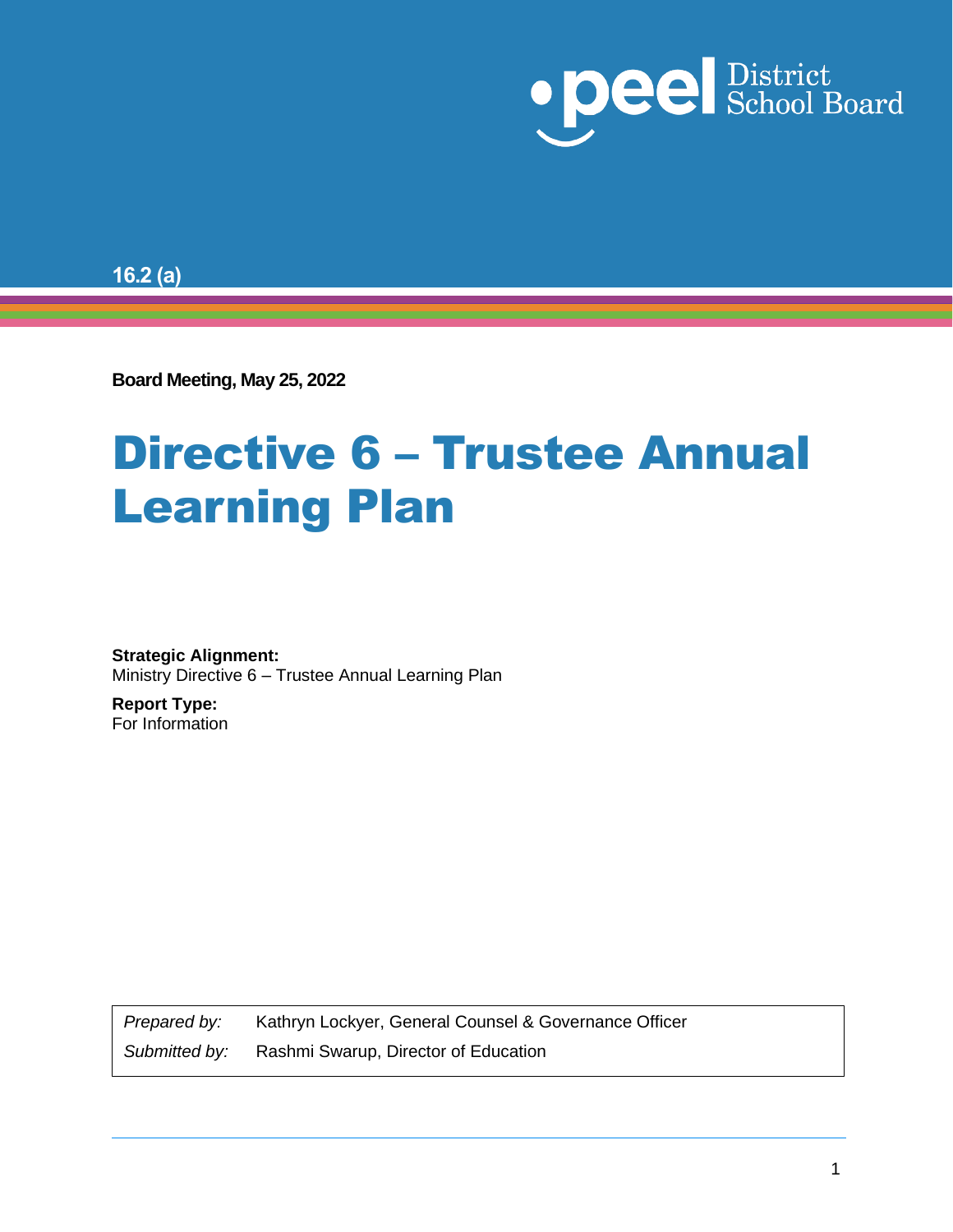

**16.2 (a)**

**Board Meeting, May 25, 2022**

# Directive 6 – Trustee Annual Learning Plan

**Strategic Alignment:** Ministry Directive 6 – Trustee Annual Learning Plan

**Report Type:** For Information

*Prepared by:* Kathryn Lockyer, General Counsel & Governance Officer

*Submitted by:* Rashmi Swarup, Director of Education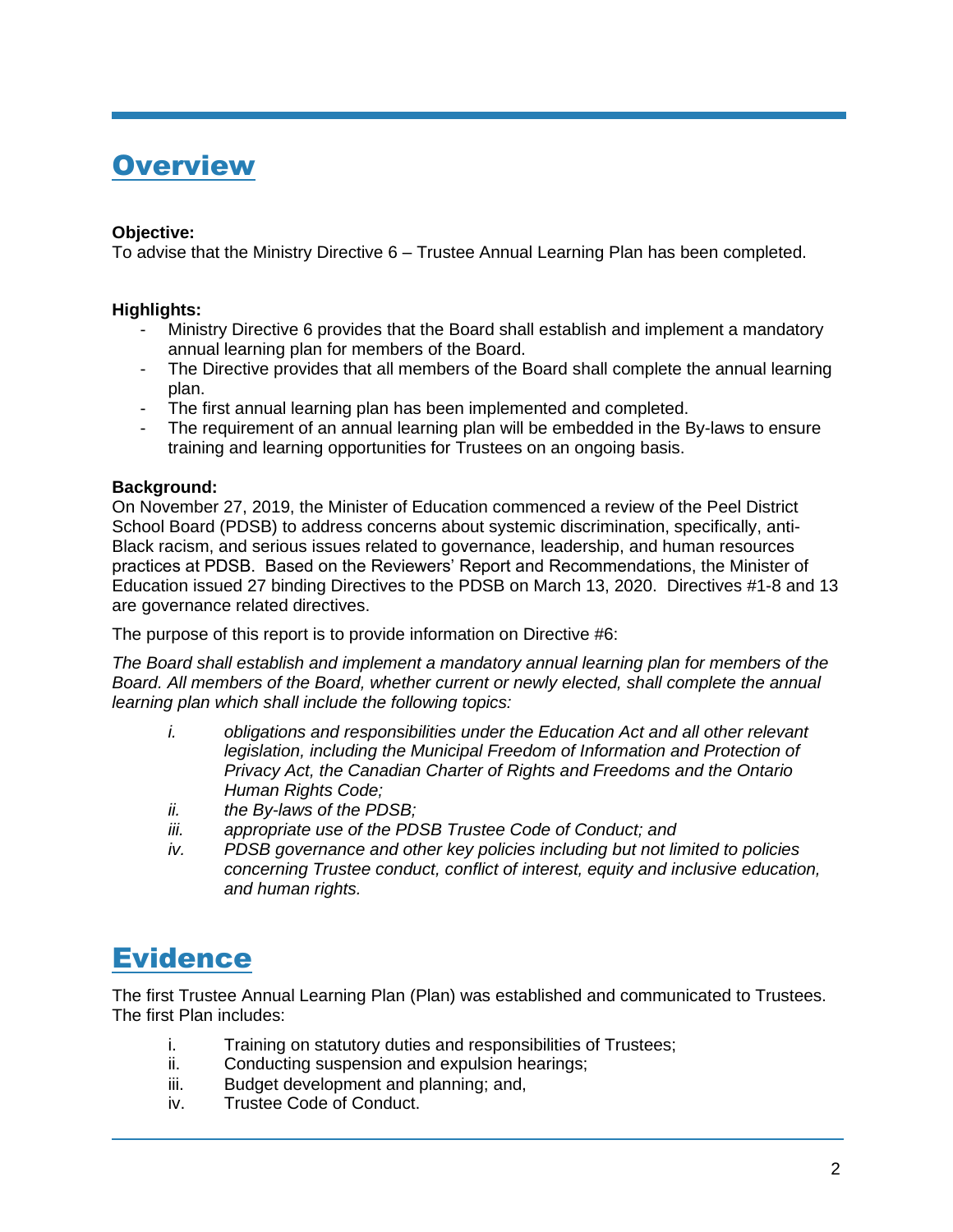## **Overview**

## **Objective:**

To advise that the Ministry Directive 6 – Trustee Annual Learning Plan has been completed.

## **Highlights:**

- Ministry Directive 6 provides that the Board shall establish and implement a mandatory annual learning plan for members of the Board.
- The Directive provides that all members of the Board shall complete the annual learning plan.
- The first annual learning plan has been implemented and completed.
- The requirement of an annual learning plan will be embedded in the By-laws to ensure training and learning opportunities for Trustees on an ongoing basis.

## **Background:**

On November 27, 2019, the Minister of Education commenced a review of the Peel District School Board (PDSB) to address concerns about systemic discrimination, specifically, anti-Black racism, and serious issues related to governance, leadership, and human resources practices at PDSB. Based on the Reviewers' Report and Recommendations, the Minister of Education issued 27 binding Directives to the PDSB on March 13, 2020. Directives #1-8 and 13 are governance related directives.

The purpose of this report is to provide information on Directive #6:

*The Board shall establish and implement a mandatory annual learning plan for members of the Board. All members of the Board, whether current or newly elected, shall complete the annual learning plan which shall include the following topics:* 

- *i. obligations and responsibilities under the Education Act and all other relevant legislation, including the Municipal Freedom of Information and Protection of Privacy Act, the Canadian Charter of Rights and Freedoms and the Ontario Human Rights Code;*
- *ii. the By-laws of the PDSB;*
- *iii. appropriate use of the PDSB Trustee Code of Conduct; and*
- *iv. PDSB governance and other key policies including but not limited to policies concerning Trustee conduct, conflict of interest, equity and inclusive education, and human rights.*

## **Evidence**

The first Trustee Annual Learning Plan (Plan) was established and communicated to Trustees. The first Plan includes:

- i. Training on statutory duties and responsibilities of Trustees;
- ii. Conducting suspension and expulsion hearings;
- iii. Budget development and planning; and,
- iv. Trustee Code of Conduct.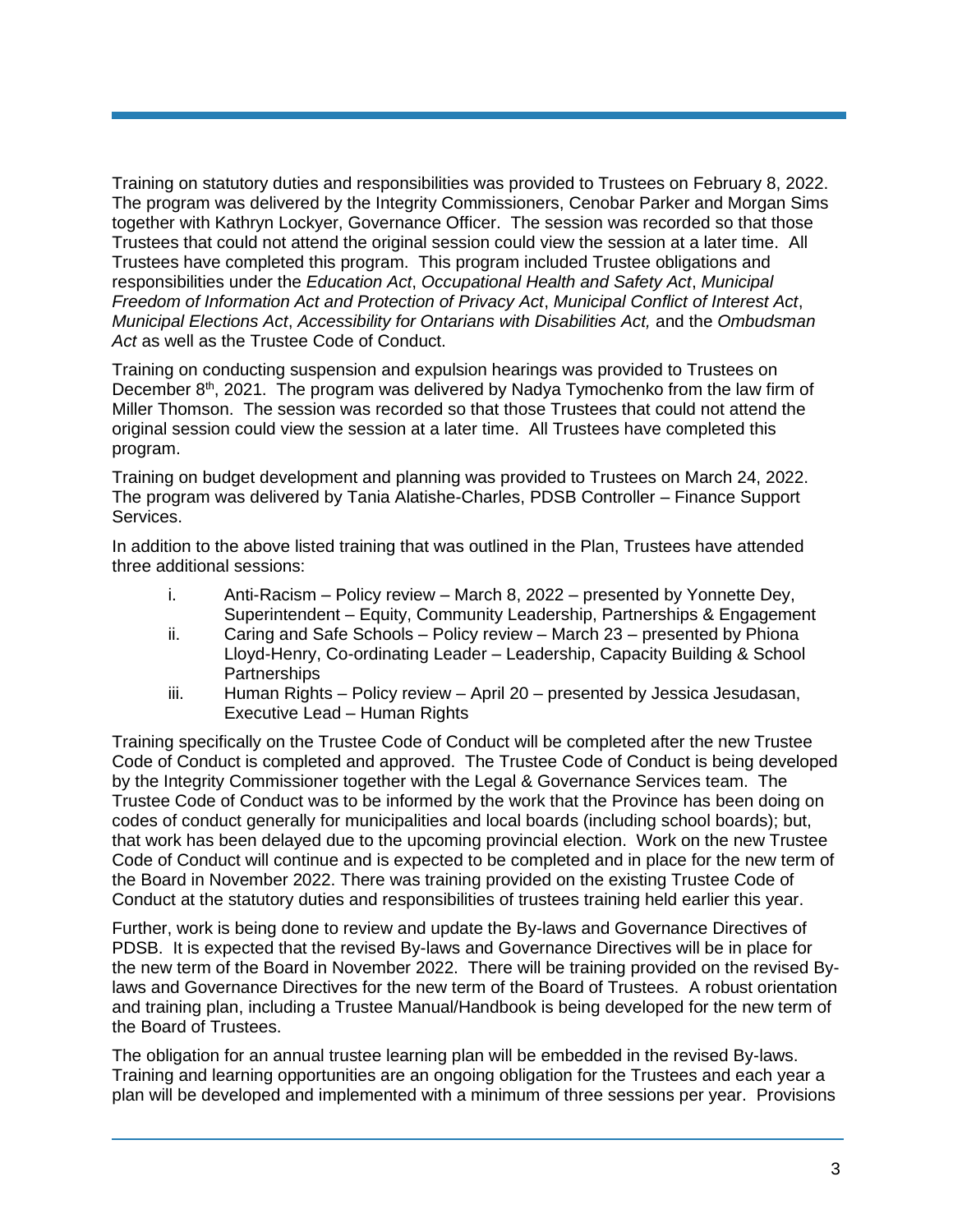Training on statutory duties and responsibilities was provided to Trustees on February 8, 2022. The program was delivered by the Integrity Commissioners, Cenobar Parker and Morgan Sims together with Kathryn Lockyer, Governance Officer. The session was recorded so that those Trustees that could not attend the original session could view the session at a later time. All Trustees have completed this program. This program included Trustee obligations and responsibilities under the *Education Act*, *Occupational Health and Safety Act*, *Municipal Freedom of Information Act and Protection of Privacy Act*, *Municipal Conflict of Interest Act*, *Municipal Elections Act*, *Accessibility for Ontarians with Disabilities Act,* and the *Ombudsman Act* as well as the Trustee Code of Conduct.

Training on conducting suspension and expulsion hearings was provided to Trustees on December 8<sup>th</sup>, 2021. The program was delivered by Nadya Tymochenko from the law firm of Miller Thomson. The session was recorded so that those Trustees that could not attend the original session could view the session at a later time. All Trustees have completed this program.

Training on budget development and planning was provided to Trustees on March 24, 2022. The program was delivered by Tania Alatishe-Charles, PDSB Controller – Finance Support Services.

In addition to the above listed training that was outlined in the Plan, Trustees have attended three additional sessions:

- i. Anti-Racism Policy review March 8, 2022 presented by Yonnette Dey, Superintendent – Equity, Community Leadership, Partnerships & Engagement
- ii. Caring and Safe Schools Policy review March 23 presented by Phiona Lloyd-Henry, Co-ordinating Leader – Leadership, Capacity Building & School Partnerships
- iii. Human Rights Policy review April 20 presented by Jessica Jesudasan, Executive Lead – Human Rights

Training specifically on the Trustee Code of Conduct will be completed after the new Trustee Code of Conduct is completed and approved. The Trustee Code of Conduct is being developed by the Integrity Commissioner together with the Legal & Governance Services team. The Trustee Code of Conduct was to be informed by the work that the Province has been doing on codes of conduct generally for municipalities and local boards (including school boards); but, that work has been delayed due to the upcoming provincial election. Work on the new Trustee Code of Conduct will continue and is expected to be completed and in place for the new term of the Board in November 2022. There was training provided on the existing Trustee Code of Conduct at the statutory duties and responsibilities of trustees training held earlier this year.

Further, work is being done to review and update the By-laws and Governance Directives of PDSB. It is expected that the revised By-laws and Governance Directives will be in place for the new term of the Board in November 2022. There will be training provided on the revised Bylaws and Governance Directives for the new term of the Board of Trustees. A robust orientation and training plan, including a Trustee Manual/Handbook is being developed for the new term of the Board of Trustees.

The obligation for an annual trustee learning plan will be embedded in the revised By-laws. Training and learning opportunities are an ongoing obligation for the Trustees and each year a plan will be developed and implemented with a minimum of three sessions per year. Provisions